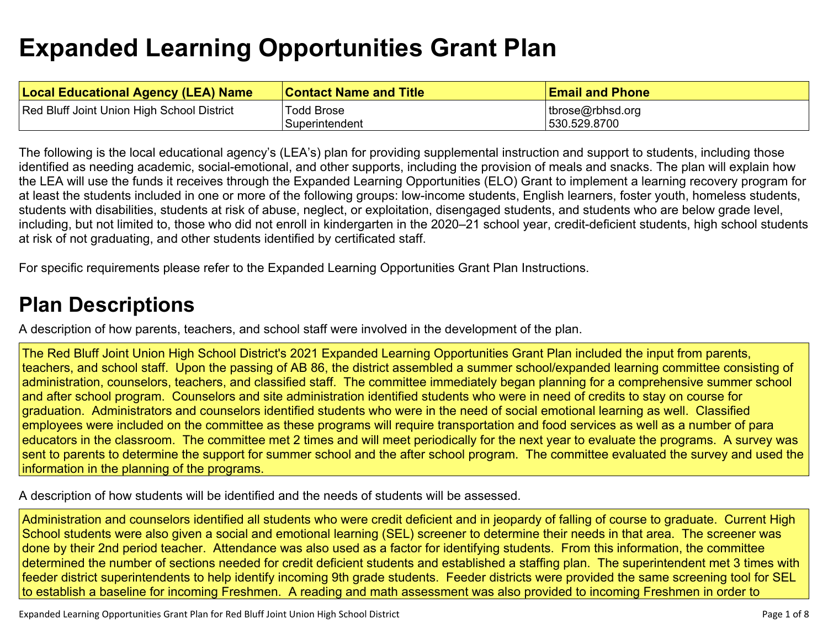# **Expanded Learning [Opportunities](#page-4-0) Grant Plan**

| <b>Local Educational Agency (LEA) Name</b> | <b>Contact Name and Title</b> | <b>Email and Phone</b> |
|--------------------------------------------|-------------------------------|------------------------|
| Red Bluff Joint Union High School District | <b>Todd Brose</b>             | tbrose@rbhsd.org       |
|                                            | Superintendent                | 530.529.8700           |

The following is the local educational agency's (LEA's) plan for providing supplemental instruction and support to students, including those identified as needing academic, social-emotional, and other supports, including the provision of meals and snacks. The plan will explain how the LEA will use the funds it receives through the Expanded Learning Opportunities (ELO) Grant to implement a learning recovery program for at least the students included in one or more of the following groups: low-income students, English learners, foster youth, homeless students, students with disabilities, students at risk of abuse, neglect, or exploitation, disengaged students, and students who are below grade level, including, but not limited to, those who did not enroll in kindergarten in the 2020–21 school year, credit-deficient students, high school students at risk of not graduating, and other students identified by certificated staff.

For specific requirements please refer to the Expanded Learning Opportunities Grant Plan Instructions.

### **Plan [Descriptions](#page-6-0)**

A description of how parents, teachers, and school staff were involved in the [development](#page-6-1) of the plan.

The Red Bluff Joint Union High School District's 2021 Expanded Learning Opportunities Grant Plan included the input from parents, teachers, and school staff. Upon the passing of AB 86, the district assembled a summer school/expanded learning committee consisting of administration, counselors, teachers, and classified staff. The committee immediately began planning for a comprehensive summer school and after school program. Counselors and site administration identified students who were in need of credits to stay on course for graduation. Administrators and counselors identified students who were in the need of social emotional learning as well. Classified employees were included on the committee as these programs will require transportation and food services as well as a number of para educators in the classroom. The committee met 2 times and will meet periodically for the next year to evaluate the programs. A survey was sent to parents to determine the support for summer school and the after school program. The committee evaluated the survey and used the information in the planning of the programs.

A [description](#page-6-2) of how students will be identified and the needs of students will be assessed[.](#page-6-2)

Administration and counselors identified all students who were credit deficient and in jeopardy of falling of course to graduate. Current High School students were also given a social and emotional learning (SEL) screener to determine their needs in that area. The screener was done by their 2nd period teacher. Attendance was also used as a factor for identifying students. From this information, the committee determined the number of sections needed for credit deficient students and established a staffing plan. The superintendent met 3 times with feeder district superintendents to help identify incoming 9th grade students. Feeder districts were provided the same screening tool for SEL to establish a baseline for incoming Freshmen. A reading and math assessment was also provided to incoming Freshmen in order to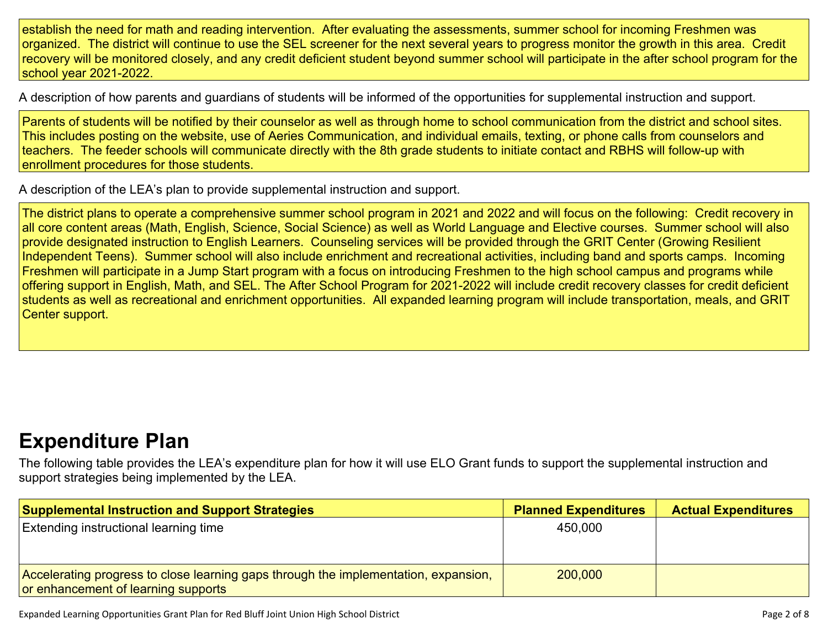establish the need for math and reading intervention. After evaluating the assessments, summer school for incoming Freshmen was organized. The district will continue to use the SEL screener for the next several years to progress monitor the growth in this area. Credit recovery will be monitored closely, and any credit deficient student beyond summer school will participate in the after school program for the school year 2021-2022.

A description of how parents and guardians of students will be informed of the opportunities for [supplemental](#page-6-3) instruction and support[.](#page-6-3)

Parents of students will be notified by their counselor as well as through home to school communication from the district and school sites. This includes posting on the website, use of Aeries Communication, and individual emails, texting, or phone calls from counselors and teachers. The feeder schools will communicate directly with the 8th grade students to initiate contact and RBHS will follow-up with enrollment procedures for those students.

A description of the LEA's plan to provide [supplemental](#page-6-4) instruction and support[.](#page-6-4)

The district plans to operate a comprehensive summer school program in 2021 and 2022 and will focus on the following: Credit recovery in all core content areas (Math, English, Science, Social Science) as well as World Language and Elective courses. Summer school will also provide designated instruction to English Learners. Counseling services will be provided through the GRIT Center (Growing Resilient Independent Teens). Summer school will also include enrichment and recreational activities, including band and sports camps. Incoming Freshmen will participate in a Jump Start program with a focus on introducing Freshmen to the high school campus and programs while offering support in English, Math, and SEL. The After School Program for 2021-2022 will include credit recovery classes for credit deficient students as well as recreational and enrichment opportunities. All expanded learning program will include transportation, meals, and GRIT Center support.

### **[Expenditure](#page-7-0) Pla[n](#page-7-0)**

The following table provides the LEA's expenditure plan for how it will use ELO Grant funds to support the supplemental instruction and support strategies being implemented by the LEA.

| <b>Supplemental Instruction and Support Strategies</b>                              | <b>Planned Expenditures</b> | <b>Actual Expenditures</b> |
|-------------------------------------------------------------------------------------|-----------------------------|----------------------------|
| <b>Extending instructional learning time</b>                                        | 450,000                     |                            |
|                                                                                     |                             |                            |
|                                                                                     |                             |                            |
| Accelerating progress to close learning gaps through the implementation, expansion, | 200,000                     |                            |
| or enhancement of learning supports                                                 |                             |                            |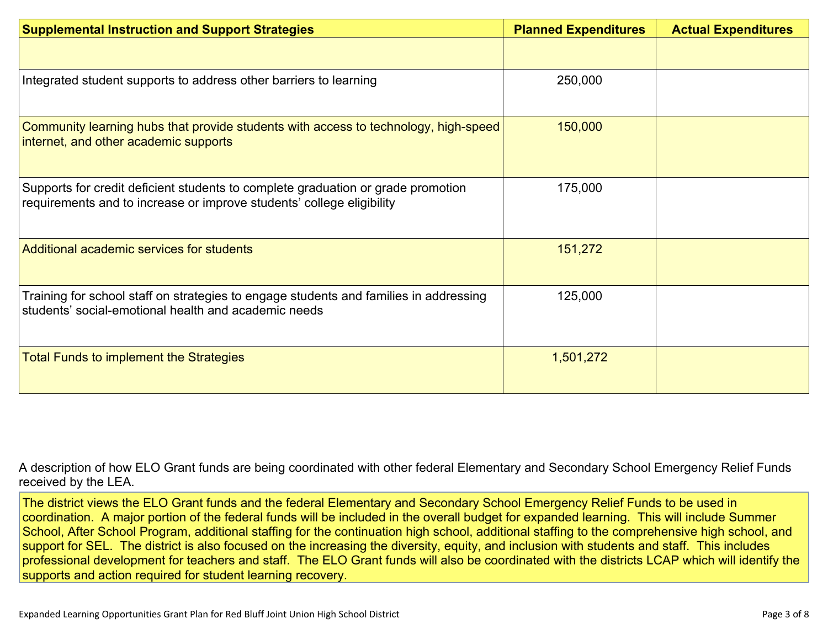| <b>Supplemental Instruction and Support Strategies</b>                                                                                                    | <b>Planned Expenditures</b> | <b>Actual Expenditures</b> |
|-----------------------------------------------------------------------------------------------------------------------------------------------------------|-----------------------------|----------------------------|
|                                                                                                                                                           |                             |                            |
| Integrated student supports to address other barriers to learning                                                                                         | 250,000                     |                            |
| Community learning hubs that provide students with access to technology, high-speed<br>internet, and other academic supports                              | 150,000                     |                            |
| Supports for credit deficient students to complete graduation or grade promotion<br>requirements and to increase or improve students' college eligibility | 175,000                     |                            |
| Additional academic services for students                                                                                                                 | 151,272                     |                            |
| Training for school staff on strategies to engage students and families in addressing<br>students' social-emotional health and academic needs             | 125,000                     |                            |
| <b>Total Funds to implement the Strategies</b>                                                                                                            | 1,501,272                   |                            |

A description of how ELO Grant funds are being [coordinated](#page-7-1) with other federal Elementary and Secondary School Emergency Relief Funds [received](#page-7-1) by the LEA.

The district views the ELO Grant funds and the federal Elementary and Secondary School Emergency Relief Funds to be used in coordination. A major portion of the federal funds will be included in the overall budget for expanded learning. This will include Summer School, After School Program, additional staffing for the continuation high school, additional staffing to the comprehensive high school, and support for SEL. The district is also focused on the increasing the diversity, equity, and inclusion with students and staff. This includes professional development for teachers and staff. The ELO Grant funds will also be coordinated with the districts LCAP which will identify the supports and action required for student learning recovery.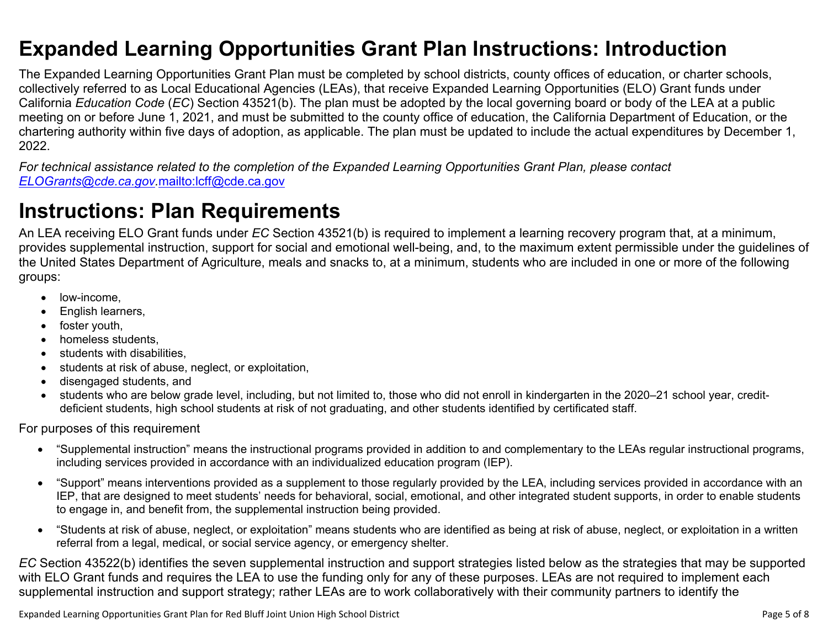### <span id="page-4-0"></span>**Expanded Learning Opportunities Grant Plan Instructions: Introduction**

The Expanded Learning Opportunities Grant Plan must be completed by school districts, county offices of education, or charter schools, collectively referred to as Local Educational Agencies (LEAs), that receive Expanded Learning Opportunities (ELO) Grant funds under California *Education Code* (*EC*) Section 43521(b). The plan must be adopted by the local governing board or body of the LEA at a public meeting on or before June 1, 2021, and must be submitted to the county office of education, the California Department of Education, or the chartering authority within five days of adoption, as applicable. The plan must be updated to include the actual expenditures by December 1, 2022.

For technical assistance related to the completion of the Expanded Learning Opportunities Grant Plan, please contact *[ELOGrants@cde.ca.gov](mailto:ELOGrants@cde.ca.gov).*<mailto:lcff@cde.ca.gov>

## **Instructions: Plan Requirements**

An LEA receiving ELO Grant funds under *EC* Section 43521(b) is required to implement a learning recovery program that, at a minimum, provides supplemental instruction, support for social and emotional well-being, and, to the maximum extent permissible under the guidelines of the United States Department of Agriculture, meals and snacks to, at a minimum, students who are included in one or more of the following groups:

- low-income.
- English learners,
- foster youth,
- homeless students,
- students with disabilities.
- students at risk of abuse, neglect, or exploitation,
- disengaged students, and
- students who are below grade level, including, but not limited to, those who did not enroll in kindergarten in the 2020–21 school year, creditdeficient students, high school students at risk of not graduating, and other students identified by certificated staff.

For purposes of this requirement

- "Supplemental instruction" means the instructional programs provided in addition to and complementary to the LEAs regular instructional programs, including services provided in accordance with an individualized education program (IEP).
- "Support" means interventions provided as a supplement to those regularly provided by the LEA, including services provided in accordance with an IEP, that are designed to meet students' needs for behavioral, social, emotional, and other integrated student supports, in order to enable students to engage in, and benefit from, the supplemental instruction being provided.
- "Students at risk of abuse, neglect, or exploitation" means students who are identified as being at risk of abuse, neglect, or exploitation in a written referral from a legal, medical, or social service agency, or emergency shelter.

*EC* Section 43522(b) identifies the seven supplemental instruction and support strategies listed below as the strategies that may be supported with ELO Grant funds and requires the LEA to use the funding only for any of these purposes. LEAs are not required to implement each supplemental instruction and support strategy; rather LEAs are to work collaboratively with their community partners to identify the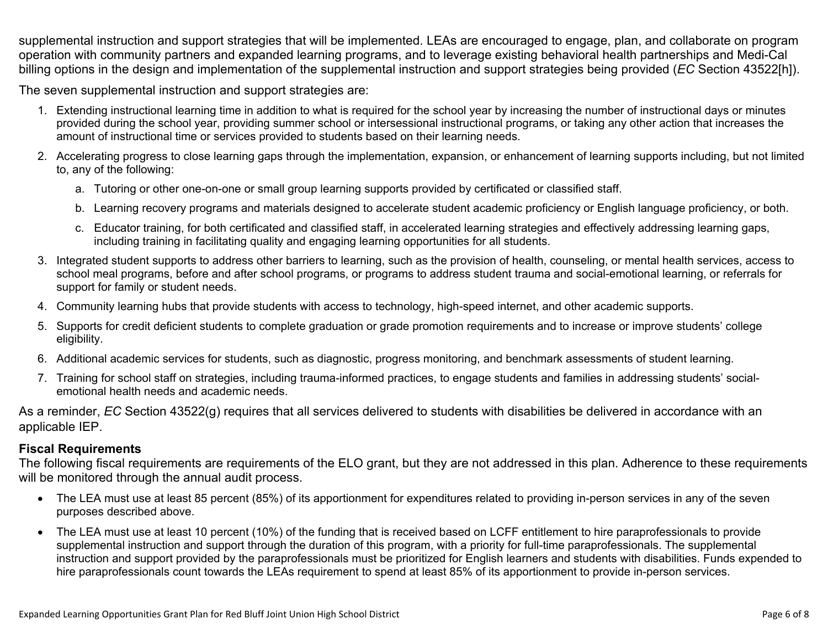supplemental instruction and support strategies that will be implemented. LEAs are encouraged to engage, plan, and collaborate on program operation with community partners and expanded learning programs, and to leverage existing behavioral health partnerships and Medi-Cal billing options in the design and implementation of the supplemental instruction and support strategies being provided (*EC* Section 43522[h]).

The seven supplemental instruction and support strategies are:

- 1. Extending instructional learning time in addition to what is required for the school year by increasing the number of instructional days or minutes provided during the school year, providing summer school or intersessional instructional programs, or taking any other action that increases the amount of instructional time or services provided to students based on their learning needs.
- 2. Accelerating progress to close learning gaps through the implementation, expansion, or enhancement of learning supports including, but not limited to, any of the following:
	- a. Tutoring or other one-on-one or small group learning supports provided by certificated or classified staff.
	- b. Learning recovery programs and materials designed to accelerate student academic proficiency or English language proficiency, or both.
	- c. Educator training, for both certificated and classified staff, in accelerated learning strategies and effectively addressing learning gaps, including training in facilitating quality and engaging learning opportunities for all students.
- 3. Integrated student supports to address other barriers to learning, such as the provision of health, counseling, or mental health services, access to school meal programs, before and after school programs, or programs to address student trauma and social-emotional learning, or referrals for support for family or student needs.
- 4. Community learning hubs that provide students with access to technology, high-speed internet, and other academic supports.
- 5. Supports for credit deficient students to complete graduation or grade promotion requirements and to increase or improve students' college eligibility.
- 6. Additional academic services for students, such as diagnostic, progress monitoring, and benchmark assessments of student learning.
- 7. Training for school staff on strategies, including trauma-informed practices, to engage students and families in addressing students' socialemotional health needs and academic needs.

As a reminder, *EC* Section 43522(g) requires that all services delivered to students with disabilities be delivered in accordance with an applicable IEP.

#### **Fiscal Requirements**

The following fiscal requirements are requirements of the ELO grant, but they are not addressed in this plan. Adherence to these requirements will be monitored through the annual audit process.

- The LEA must use at least 85 percent (85%) of its apportionment for expenditures related to providing in-person services in any of the seven purposes described above.
- The LEA must use at least 10 percent (10%) of the funding that is received based on LCFF entitlement to hire paraprofessionals to provide supplemental instruction and support through the duration of this program, with a priority for full-time paraprofessionals. The supplemental instruction and support provided by the paraprofessionals must be prioritized for English learners and students with disabilities. Funds expended to hire paraprofessionals count towards the LEAs requirement to spend at least 85% of its apportionment to provide in-person services.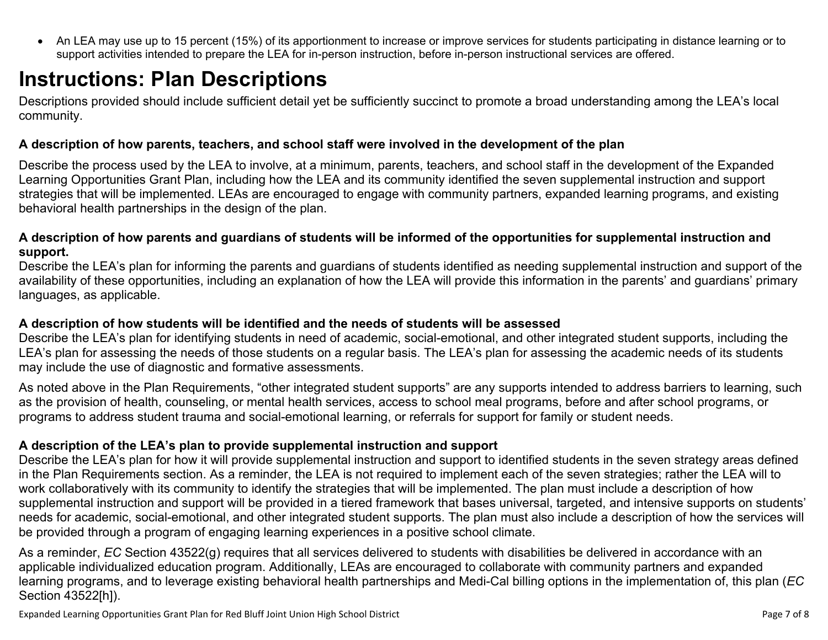<span id="page-6-0"></span> An LEA may use up to 15 percent (15%) of its apportionment to increase or improve services for students participating in distance learning or to support activities intended to prepare the LEA for in-person instruction, before in-person instructional services are offered.

# **Instructions: Plan Descriptions**

Descriptions provided should include sufficient detail yet be sufficiently succinct to promote a broad understanding among the LEA's local community.

#### <span id="page-6-1"></span>**A description of how parents, teachers, and school staff were involved in the development of the plan**

Describe the process used by the LEA to involve, at a minimum, parents, teachers, and school staff in the development of the Expanded Learning Opportunities Grant Plan, including how the LEA and its community identified the seven supplemental instruction and support strategies that will be implemented. LEAs are encouraged to engage with community partners, expanded learning programs, and existing behavioral health partnerships in the design of the plan.

#### <span id="page-6-2"></span>A description of how parents and guardians of students will be informed of the opportunities for supplemental instruction and **support.**

Describe the LEA's plan for informing the parents and guardians of students identified as needing supplemental instruction and support of the availability of these opportunities, including an explanation of how the LEA will provide this information in the parents' and guardians' primary languages, as applicable.

#### <span id="page-6-3"></span>**A description of how students will be identified and the needs of students will be assessed**

Describe the LEA's plan for identifying students in need of academic, social-emotional, and other integrated student supports, including the LEA's plan for assessing the needs of those students on a regular basis. The LEA's plan for assessing the academic needs of its students may include the use of diagnostic and formative assessments.

As noted above in the Plan Requirements, "other integrated student supports" are any supports intended to address barriers to learning, such as the provision of health, counseling, or mental health services, access to school meal programs, before and after school programs, or programs to address student trauma and social-emotional learning, or referrals for support for family or student needs.

#### <span id="page-6-4"></span>**A description of the LEA's plan to provide supplemental instruction and support**

Describe the LEA's plan for how it will provide supplemental instruction and support to identified students in the seven strategy areas defined in the Plan Requirements section. As a reminder, the LEA is not required to implement each of the seven strategies; rather the LEA will to work collaboratively with its community to identify the strategies that will be implemented. The plan must include a description of how supplemental instruction and support will be provided in a tiered framework that bases universal, targeted, and intensive supports on students' needs for academic, social-emotional, and other integrated student supports. The plan must also include a description of how the services will be provided through a program of engaging learning experiences in a positive school climate.

As a reminder, *EC* Section 43522(g) requires that all services delivered to students with disabilities be delivered in accordance with an applicable individualized education program. Additionally, LEAs are encouraged to collaborate with community partners and expanded learning programs, and to leverage existing behavioral health partnerships and Medi-Cal billing options in the implementation of, this plan (*EC* Section 43522[h]).